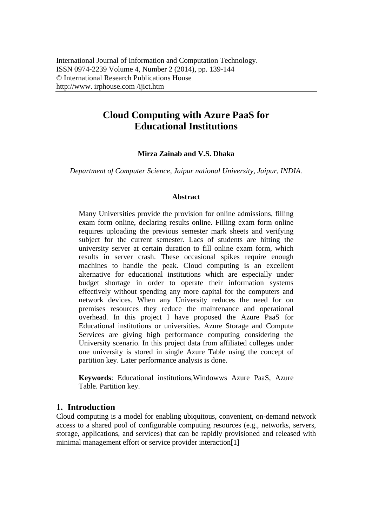# **Cloud Computing with Azure PaaS for Educational Institutions**

## **Mirza Zainab and V.S. Dhaka**

*Department of Computer Science, Jaipur national University, Jaipur, INDIA.* 

#### **Abstract**

Many Universities provide the provision for online admissions, filling exam form online, declaring results online. Filling exam form online requires uploading the previous semester mark sheets and verifying subject for the current semester. Lacs of students are hitting the university server at certain duration to fill online exam form, which results in server crash. These occasional spikes require enough machines to handle the peak. Cloud computing is an excellent alternative for educational institutions which are especially under budget shortage in order to operate their information systems effectively without spending any more capital for the computers and network devices. When any University reduces the need for on premises resources they reduce the maintenance and operational overhead. In this project I have proposed the Azure PaaS for Educational institutions or universities. Azure Storage and Compute Services are giving high performance computing considering the University scenario. In this project data from affiliated colleges under one university is stored in single Azure Table using the concept of partition key. Later performance analysis is done.

**Keywords**: Educational institutions,Windowws Azure PaaS, Azure Table. Partition key.

## **1. Introduction**

Cloud computing is a model for enabling ubiquitous, convenient, on-demand network access to a shared pool of configurable computing resources (e.g., networks, servers, storage, applications, and services) that can be rapidly provisioned and released with minimal management effort or service provider interaction[1]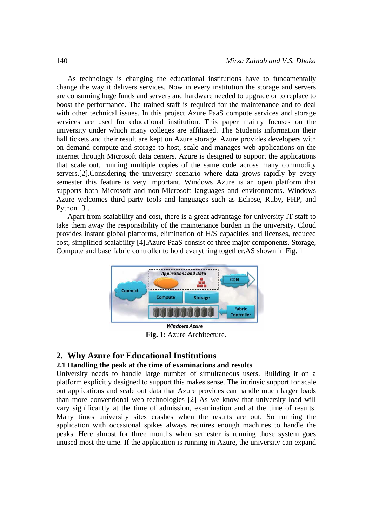As technology is changing the educational institutions have to fundamentally change the way it delivers services. Now in every institution the storage and servers are consuming huge funds and servers and hardware needed to upgrade or to replace to boost the performance. The trained staff is required for the maintenance and to deal with other technical issues. In this project Azure PaaS compute services and storage services are used for educational institution. This paper mainly focuses on the university under which many colleges are affiliated. The Students information their hall tickets and their result are kept on Azure storage. Azure provides developers with on demand compute and storage to host, scale and manages web applications on the internet through Microsoft data centers. Azure is designed to support the applications that scale out, running multiple copies of the same code across many commodity servers.[2].Considering the university scenario where data grows rapidly by every semester this feature is very important. Windows Azure is an open platform that supports both Microsoft and non-Microsoft languages and environments. Windows Azure welcomes third party tools and languages such as Eclipse, Ruby, PHP, and Python [3].

Apart from scalability and cost, there is a great advantage for university IT staff to take them away the responsibility of the maintenance burden in the university. Cloud provides instant global platforms, elimination of H/S capacities and licenses, reduced cost, simplified scalability [4].Azure PaaS consist of three major components, Storage, Compute and base fabric controller to hold everything together.AS shown in Fig. 1



**Fig. 1**: Azure Architecture.

## **2. Why Azure for Educational Institutions**

#### **2.1 Handling the peak at the time of examinations and results**

University needs to handle large number of simultaneous users. Building it on a platform explicitly designed to support this makes sense. The intrinsic support for scale out applications and scale out data that Azure provides can handle much larger loads than more conventional web technologies [2] As we know that university load will vary significantly at the time of admission, examination and at the time of results. Many times university sites crashes when the results are out. So running the application with occasional spikes always requires enough machines to handle the peaks. Here almost for three months when semester is running those system goes unused most the time. If the application is running in Azure, the university can expand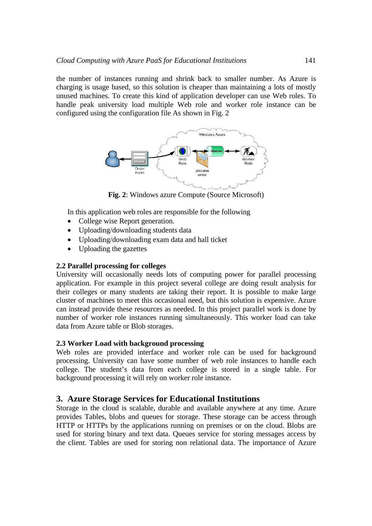the number of instances running and shrink back to smaller number. As Azure is charging is usage based, so this solution is cheaper than maintaining a lots of mostly unused machines. To create this kind of application developer can use Web roles. To handle peak university load multiple Web role and worker role instance can be configured using the configuration file As shown in Fig. 2



**Fig. 2**: Windows azure Compute (Source Microsoft)

In this application web roles are responsible for the following

- College wise Report generation.
- Uploading/downloading students data
- Uploading/downloading exam data and hall ticket
- Uploading the gazettes

#### **2.2 Parallel processing for colleges**

University will occasionally needs lots of computing power for parallel processing application. For example in this project several college are doing result analysis for their colleges or many students are taking their report. It is possible to make large cluster of machines to meet this occasional need, but this solution is expensive. Azure can instead provide these resources as needed. In this project parallel work is done by number of worker role instances running simultaneously. This worker load can take data from Azure table or Blob storages.

#### **2.3 Worker Load with background processing**

Web roles are provided interface and worker role can be used for background processing. University can have some number of web role instances to handle each college. The student's data from each college is stored in a single table. For background processing it will rely on worker role instance.

## **3. Azure Storage Services for Educational Institutions**

Storage in the cloud is scalable, durable and available anywhere at any time. Azure provides Tables, blobs and queues for storage. These storage can be access through HTTP or HTTPs by the applications running on premises or on the cloud. Blobs are used for storing binary and text data. Queues service for storing messages access by the client. Tables are used for storing non relational data. The importance of Azure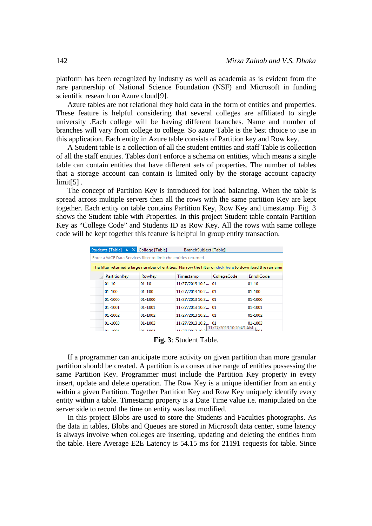platform has been recognized by industry as well as academia as is evident from the rare partnership of National Science Foundation (NSF) and Microsoft in funding scientific research on Azure cloud[9].

Azure tables are not relational they hold data in the form of entities and properties. These feature is helpful considering that several colleges are affiliated to single university .Each college will be having different branches. Name and number of branches will vary from college to college. So azure Table is the best choice to use in this application. Each entity in Azure table consists of Partition key and Row key.

A Student table is a collection of all the student entities and staff Table is collection of all the staff entities. Tables don't enforce a schema on entities, which means a single table can contain entities that have different sets of properties. The number of tables that a storage account can contain is limited only by the storage account capacity limit[5] .

The concept of Partition Key is introduced for load balancing. When the table is spread across multiple servers then all the rows with the same partition Key are kept together. Each entity on table contains Partition Key, Row Key and timestamp. Fig. 3 shows the Student table with Properties. In this project Student table contain Partition Key as "College Code" and Students ID as Row Key. All the rows with same college code will be kept together this feature is helpful in group entity transaction.

|                                                                                                          |              | Students [Table] $\div X$ College [Table] | BranchSubject [Table] |                                 |             |  |
|----------------------------------------------------------------------------------------------------------|--------------|-------------------------------------------|-----------------------|---------------------------------|-------------|--|
| Enter a WCF Data Services filter to limit the entities returned                                          |              |                                           |                       |                                 |             |  |
| The filter returned a large number of entities. Narrow the filter or click here to download the remainir |              |                                           |                       |                                 |             |  |
|                                                                                                          | PartitionKey | RowKey                                    | Timestamp             | CollegeCode                     | EnrollCode  |  |
|                                                                                                          | $01 - 10$    | $01 - 10$                                 | 11/27/2013 10:2 01    |                                 | $01 - 10$   |  |
|                                                                                                          | $01 - 100$   | $01 - 100$                                | 11/27/2013 10:2 01    |                                 | $01 - 100$  |  |
|                                                                                                          | 01-1000      | 01-1000                                   | 11/27/2013 10:2 01    |                                 | 01-1000     |  |
|                                                                                                          | $01 - 1001$  | 01-1001                                   | 11/27/2013 10:2 01    |                                 | $01 - 1001$ |  |
|                                                                                                          | $01 - 1002$  | $01 - 1002$                               | 11/27/2013 10:2 01    |                                 | 01-1002     |  |
|                                                                                                          | 01-1003      | 01-1003                                   | 11/27/2013 10:2 01    |                                 | 01-1003     |  |
|                                                                                                          | 01.1004      | 01.1004                                   | 11/27/2012 10-2       | 11/27/2013 10:20:49 AM<br>loo 4 |             |  |

**Fig. 3**: Student Table.

If a programmer can anticipate more activity on given partition than more granular partition should be created. A partition is a consecutive range of entities possessing the same Partition Key. Programmer must include the Partition Key property in every insert, update and delete operation. The Row Key is a unique identifier from an entity within a given Partition. Together Partition Key and Row Key uniquely identify every entity within a table. Timestamp property is a Date Time value i.e. manipulated on the server side to record the time on entity was last modified.

In this project Blobs are used to store the Students and Faculties photographs. As the data in tables, Blobs and Queues are stored in Microsoft data center, some latency is always involve when colleges are inserting, updating and deleting the entities from the table. Here Average E2E Latency is 54.15 ms for 21191 requests for table. Since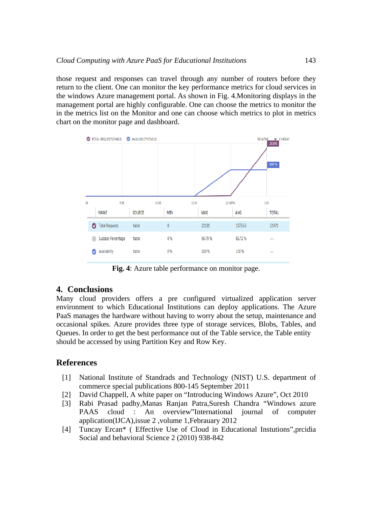those request and responses can travel through any number of routers before they return to the client. One can monitor the key performance metrics for cloud services in the windows Azure management portal. As shown in Fig. 4.Monitoring displays in the management portal are highly configurable. One can choose the metrics to monitor the in the metrics list on the Monitor and one can choose which metrics to plot in metrics chart on the monitor page and dashboard.



**Fig. 4**: Azure table performance on monitor page.

## **4. Conclusions**

Many cloud providers offers a pre configured virtualized application server environment to which Educational Institutions can deploy applications. The Azure PaaS manages the hardware without having to worry about the setup, maintenance and occasional spikes. Azure provides three type of storage services, Blobs, Tables, and Queues. In order to get the best performance out of the Table service, the Table entity should be accessed by using Partition Key and Row Key.

## **References**

- [1] National Institute of Standrads and Technology (NIST) U.S. department of commerce special publications 800-145 September 2011
- [2] David Chappell, A white paper on "Introducing Windows Azure", Oct 2010
- [3] Rabi Prasad padhy,Manas Ranjan Patra,Suresh Chandra "Windows azure PAAS cloud : An overview"International journal of computer application(IJCA),issue 2 ,volume 1,Febrauary 2012
- [4] Tuncay Ercan\* ( Effective Use of Cloud in Educational Instutions",prcidia Social and behavioral Science 2 (2010) 938-842